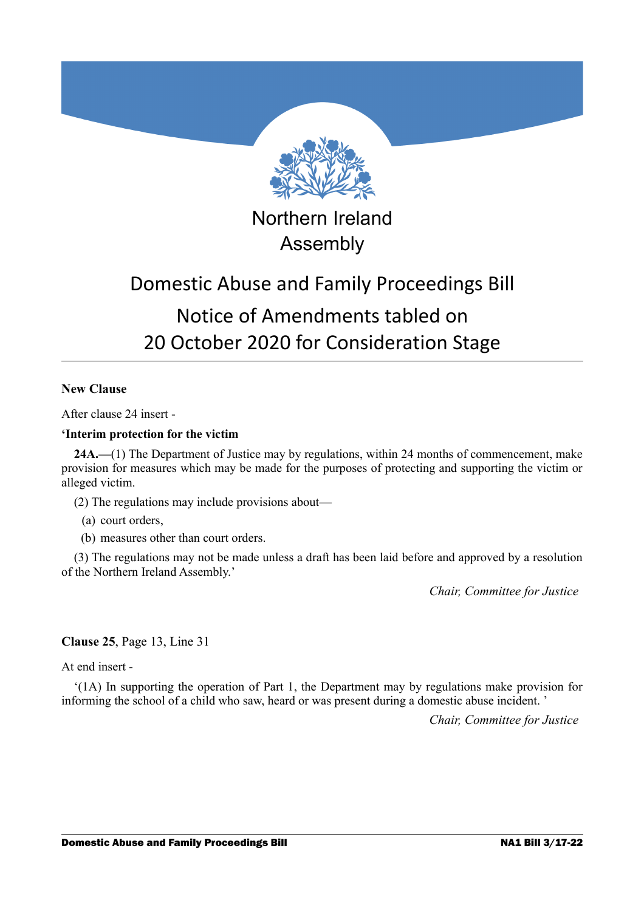

Northern Ireland Assembly

# Domestic Abuse and Family Proceedings Bill Notice of Amendments tabled on 20 October 2020 for Consideration Stage

## **New Clause**

After clause 24 insert -

## **'Interim protection for the victim**

**24A.—**(1) The Department of Justice may by regulations, within 24 months of commencement, make provision for measures which may be made for the purposes of protecting and supporting the victim or alleged victim.

(2) The regulations may include provisions about—

(a) court orders,

(b) measures other than court orders.

(3) The regulations may not be made unless a draft has been laid before and approved by a resolution of the Northern Ireland Assembly.'

*Chair, Committee for Justice* 

## **Clause 25**, Page 13, Line 31

At end insert -

'(1A) In supporting the operation of Part 1, the Department may by regulations make provision for informing the school of a child who saw, heard or was present during a domestic abuse incident. '

*Chair, Committee for Justice*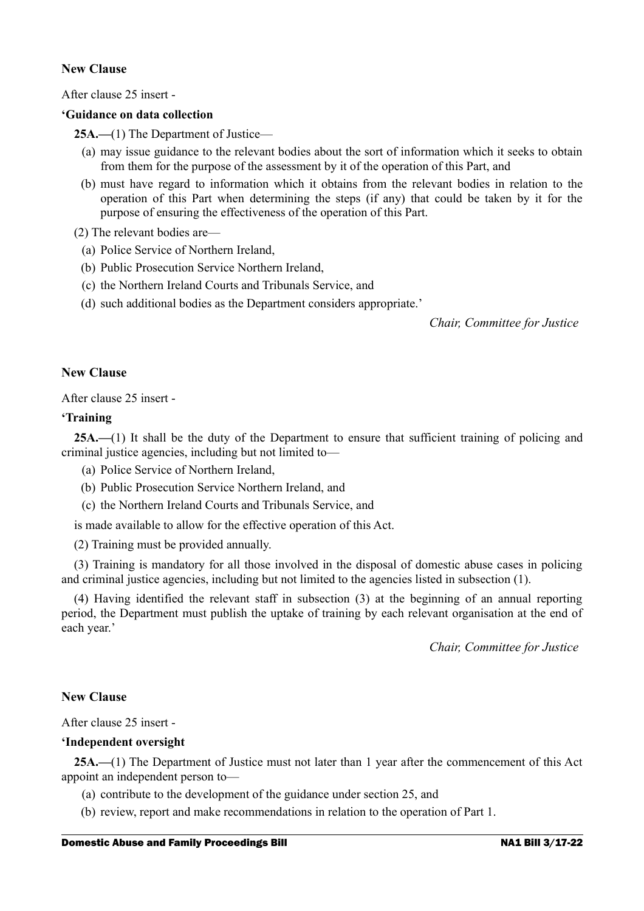## **New Clause**

After clause 25 insert -

## **'Guidance on data collection**

**25A.—**(1) The Department of Justice—

- (a) may issue guidance to the relevant bodies about the sort of information which it seeks to obtain from them for the purpose of the assessment by it of the operation of this Part, and
- (b) must have regard to information which it obtains from the relevant bodies in relation to the operation of this Part when determining the steps (if any) that could be taken by it for the purpose of ensuring the effectiveness of the operation of this Part.

(2) The relevant bodies are—

- (a) Police Service of Northern Ireland,
- (b) Public Prosecution Service Northern Ireland,
- (c) the Northern Ireland Courts and Tribunals Service, and
- (d) such additional bodies as the Department considers appropriate.'

*Chair, Committee for Justice* 

## **New Clause**

After clause 25 insert -

## **'Training**

**25A.—**(1) It shall be the duty of the Department to ensure that sufficient training of policing and criminal justice agencies, including but not limited to—

- (a) Police Service of Northern Ireland,
- (b) Public Prosecution Service Northern Ireland, and
- (c) the Northern Ireland Courts and Tribunals Service, and

is made available to allow for the effective operation of this Act.

(2) Training must be provided annually.

(3) Training is mandatory for all those involved in the disposal of domestic abuse cases in policing and criminal justice agencies, including but not limited to the agencies listed in subsection (1).

(4) Having identified the relevant staff in subsection (3) at the beginning of an annual reporting period, the Department must publish the uptake of training by each relevant organisation at the end of each year.'

*Chair, Committee for Justice* 

## **New Clause**

After clause 25 insert -

#### **'Independent oversight**

**25A.—**(1) The Department of Justice must not later than 1 year after the commencement of this Act appoint an independent person to—

- (a) contribute to the development of the guidance under section 25, and
- (b) review, report and make recommendations in relation to the operation of Part 1.